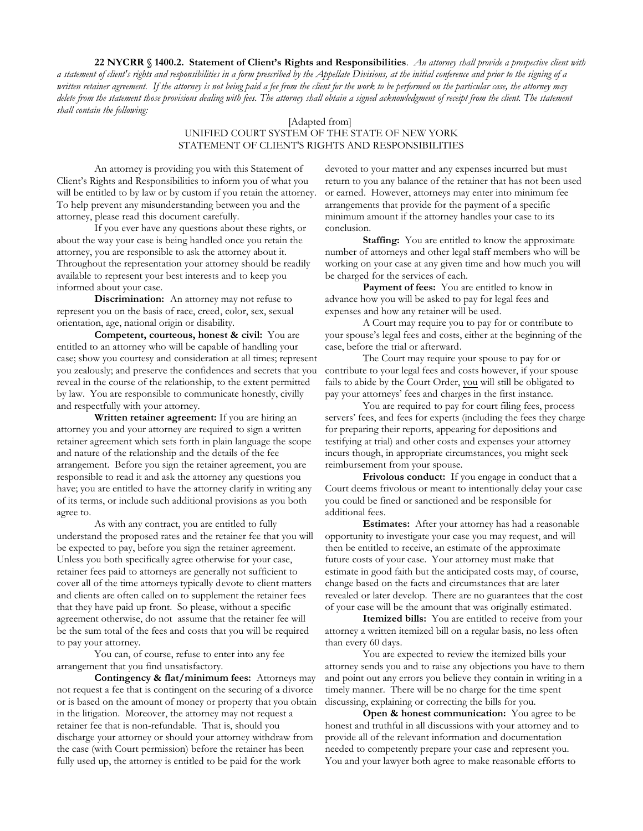**22 NYCRR § 1400.2. Statement of Client's Rights and Responsibilities**. *An attorney shall provide a prospective client with a statement of client's rights and responsibilities in a form prescribed by the Appellate Divisions, at the initial conference and prior to the signing of a written retainer agreement. If the attorney is not being paid a fee from the client for the work to be performed on the particular case, the attorney may delete from the statement those provisions dealing with fees. The attorney shall obtain a signed acknowledgment of receipt from the client. The statement shall contain the following:*

## [Adapted from] UNIFIED COURT SYSTEM OF THE STATE OF NEW YORK STATEMENT OF CLIENT'S RIGHTS AND RESPONSIBILITIES

An attorney is providing you with this Statement of Client's Rights and Responsibilities to inform you of what you will be entitled to by law or by custom if you retain the attorney. To help prevent any misunderstanding between you and the attorney, please read this document carefully.

If you ever have any questions about these rights, or about the way your case is being handled once you retain the attorney, you are responsible to ask the attorney about it. Throughout the representation your attorney should be readily available to represent your best interests and to keep you informed about your case.

**Discrimination:** An attorney may not refuse to represent you on the basis of race, creed, color, sex, sexual orientation, age, national origin or disability.

**Competent, courteous, honest & civil:** You are entitled to an attorney who will be capable of handling your case; show you courtesy and consideration at all times; represent you zealously; and preserve the confidences and secrets that you reveal in the course of the relationship, to the extent permitted by law. You are responsible to communicate honestly, civilly and respectfully with your attorney.

**Written retainer agreement:** If you are hiring an attorney you and your attorney are required to sign a written retainer agreement which sets forth in plain language the scope and nature of the relationship and the details of the fee arrangement. Before you sign the retainer agreement, you are responsible to read it and ask the attorney any questions you have; you are entitled to have the attorney clarify in writing any of its terms, or include such additional provisions as you both agree to.

As with any contract, you are entitled to fully understand the proposed rates and the retainer fee that you will be expected to pay, before you sign the retainer agreement. Unless you both specifically agree otherwise for your case, retainer fees paid to attorneys are generally not sufficient to cover all of the time attorneys typically devote to client matters and clients are often called on to supplement the retainer fees that they have paid up front. So please, without a specific agreement otherwise, do not assume that the retainer fee will be the sum total of the fees and costs that you will be required to pay your attorney.

You can, of course, refuse to enter into any fee arrangement that you find unsatisfactory.

**Contingency & flat/minimum fees:** Attorneys may not request a fee that is contingent on the securing of a divorce or is based on the amount of money or property that you obtain in the litigation. Moreover, the attorney may not request a retainer fee that is non-refundable. That is, should you discharge your attorney or should your attorney withdraw from the case (with Court permission) before the retainer has been fully used up, the attorney is entitled to be paid for the work

devoted to your matter and any expenses incurred but must return to you any balance of the retainer that has not been used or earned. However, attorneys may enter into minimum fee arrangements that provide for the payment of a specific minimum amount if the attorney handles your case to its conclusion.

**Staffing:** You are entitled to know the approximate number of attorneys and other legal staff members who will be working on your case at any given time and how much you will be charged for the services of each.

Payment of fees: You are entitled to know in advance how you will be asked to pay for legal fees and expenses and how any retainer will be used.

A Court may require you to pay for or contribute to your spouse's legal fees and costs, either at the beginning of the case, before the trial or afterward.

The Court may require your spouse to pay for or contribute to your legal fees and costs however, if your spouse fails to abide by the Court Order, you will still be obligated to pay your attorneys' fees and charges in the first instance.

You are required to pay for court filing fees, process servers' fees, and fees for experts (including the fees they charge for preparing their reports, appearing for depositions and testifying at trial) and other costs and expenses your attorney incurs though, in appropriate circumstances, you might seek reimbursement from your spouse.

**Frivolous conduct:** If you engage in conduct that a Court deems frivolous or meant to intentionally delay your case you could be fined or sanctioned and be responsible for additional fees.

**Estimates:** After your attorney has had a reasonable opportunity to investigate your case you may request, and will then be entitled to receive, an estimate of the approximate future costs of your case. Your attorney must make that estimate in good faith but the anticipated costs may, of course, change based on the facts and circumstances that are later revealed or later develop. There are no guarantees that the cost of your case will be the amount that was originally estimated.

**Itemized bills:** You are entitled to receive from your attorney a written itemized bill on a regular basis, no less often than every 60 days.

You are expected to review the itemized bills your attorney sends you and to raise any objections you have to them and point out any errors you believe they contain in writing in a timely manner. There will be no charge for the time spent discussing, explaining or correcting the bills for you.

**Open & honest communication:** You agree to be honest and truthful in all discussions with your attorney and to provide all of the relevant information and documentation needed to competently prepare your case and represent you. You and your lawyer both agree to make reasonable efforts to